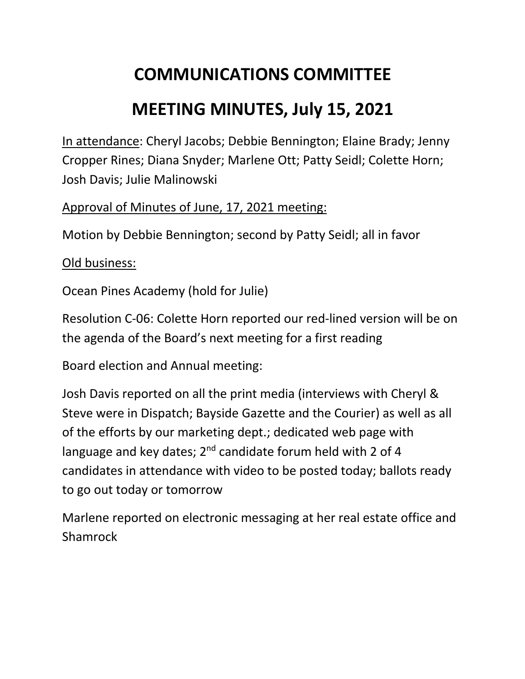## **COMMUNICATIONS COMMITTEE**

## **MEETING MINUTES, July 15, 2021**

In attendance: Cheryl Jacobs; Debbie Bennington; Elaine Brady; Jenny Cropper Rines; Diana Snyder; Marlene Ott; Patty Seidl; Colette Horn; Josh Davis; Julie Malinowski

Approval of Minutes of June, 17, 2021 meeting:

Motion by Debbie Bennington; second by Patty Seidl; all in favor

Old business:

Ocean Pines Academy (hold for Julie)

Resolution C-06: Colette Horn reported our red-lined version will be on the agenda of the Board's next meeting for a first reading

Board election and Annual meeting:

Josh Davis reported on all the print media (interviews with Cheryl & Steve were in Dispatch; Bayside Gazette and the Courier) as well as all of the efforts by our marketing dept.; dedicated web page with language and key dates;  $2^{nd}$  candidate forum held with 2 of 4 candidates in attendance with video to be posted today; ballots ready to go out today or tomorrow

Marlene reported on electronic messaging at her real estate office and **Shamrock**